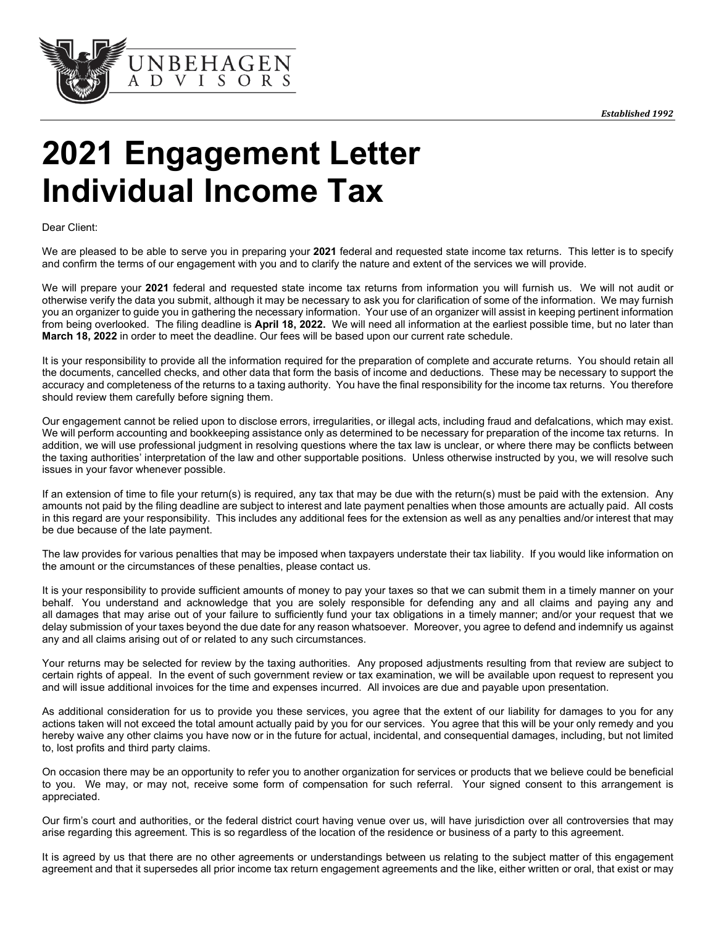

# **2021 Engagement Letter Individual Income Tax**

Dear Client:

We are pleased to be able to serve you in preparing your **2021** federal and requested state income tax returns. This letter is to specify and confirm the terms of our engagement with you and to clarify the nature and extent of the services we will provide.

We will prepare your **2021** federal and requested state income tax returns from information you will furnish us. We will not audit or otherwise verify the data you submit, although it may be necessary to ask you for clarification of some of the information. We may furnish you an organizer to guide you in gathering the necessary information. Your use of an organizer will assist in keeping pertinent information from being overlooked. The filing deadline is **April 18, 2022.** We will need all information at the earliest possible time, but no later than **March 18, 2022** in order to meet the deadline. Our fees will be based upon our current rate schedule.

It is your responsibility to provide all the information required for the preparation of complete and accurate returns. You should retain all the documents, cancelled checks, and other data that form the basis of income and deductions. These may be necessary to support the accuracy and completeness of the returns to a taxing authority. You have the final responsibility for the income tax returns. You therefore should review them carefully before signing them.

Our engagement cannot be relied upon to disclose errors, irregularities, or illegal acts, including fraud and defalcations, which may exist. We will perform accounting and bookkeeping assistance only as determined to be necessary for preparation of the income tax returns. In addition, we will use professional judgment in resolving questions where the tax law is unclear, or where there may be conflicts between the taxing authorities' interpretation of the law and other supportable positions. Unless otherwise instructed by you, we will resolve such issues in your favor whenever possible.

If an extension of time to file your return(s) is required, any tax that may be due with the return(s) must be paid with the extension. Any amounts not paid by the filing deadline are subject to interest and late payment penalties when those amounts are actually paid. All costs in this regard are your responsibility. This includes any additional fees for the extension as well as any penalties and/or interest that may be due because of the late payment.

The law provides for various penalties that may be imposed when taxpayers understate their tax liability. If you would like information on the amount or the circumstances of these penalties, please contact us.

It is your responsibility to provide sufficient amounts of money to pay your taxes so that we can submit them in a timely manner on your behalf. You understand and acknowledge that you are solely responsible for defending any and all claims and paying any and all damages that may arise out of your failure to sufficiently fund your tax obligations in a timely manner; and/or your request that we delay submission of your taxes beyond the due date for any reason whatsoever. Moreover, you agree to defend and indemnify us against any and all claims arising out of or related to any such circumstances.

Your returns may be selected for review by the taxing authorities. Any proposed adjustments resulting from that review are subject to certain rights of appeal. In the event of such government review or tax examination, we will be available upon request to represent you and will issue additional invoices for the time and expenses incurred. All invoices are due and payable upon presentation.

As additional consideration for us to provide you these services, you agree that the extent of our liability for damages to you for any actions taken will not exceed the total amount actually paid by you for our services. You agree that this will be your only remedy and you hereby waive any other claims you have now or in the future for actual, incidental, and consequential damages, including, but not limited to, lost profits and third party claims.

On occasion there may be an opportunity to refer you to another organization for services or products that we believe could be beneficial to you. We may, or may not, receive some form of compensation for such referral. Your signed consent to this arrangement is appreciated.

Our firm's court and authorities, or the federal district court having venue over us, will have jurisdiction over all controversies that may arise regarding this agreement. This is so regardless of the location of the residence or business of a party to this agreement.

It is agreed by us that there are no other agreements or understandings between us relating to the subject matter of this engagement agreement and that it supersedes all prior income tax return engagement agreements and the like, either written or oral, that exist or may